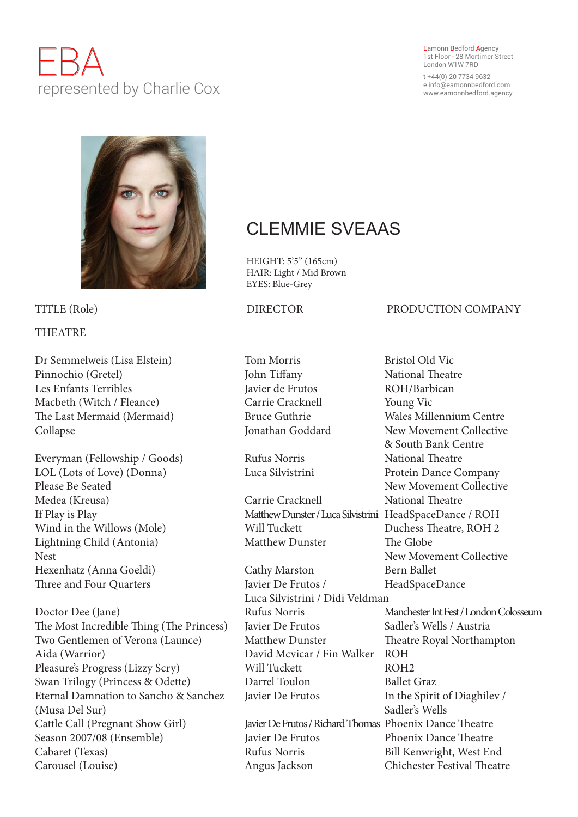# EBA represented by Charlie Cox

Eamonn Bedford Agency 1st Floor - 28 Mortimer Street London W1W 7RD

t +44(0) 20 7734 9632 e info@eamonnbedford.com www.eamonnbedford.agency



## **THEATRE**

Dr Semmelweis (Lisa Elstein) Tom Morris Bristol Old Vic Pinnochio (Gretel) John Tiffany National Theatre Les Enfants Terribles Javier de Frutos ROH/Barbican Macbeth (Witch / Fleance) Carrie Cracknell Young Vic The Last Mermaid (Mermaid) Bruce Guthrie Wales Millennium Centre Collapse Jonathan Goddard New Movement Collective

Everyman (Fellowship / Goods) Rufus Norris National Theatre LOL (Lots of Love) (Donna) Luca Silvistrini Protein Dance Company Please Be Seated New Movement Collective Medea (Kreusa) Carrie Cracknell National Theatre If Play is Play Matthew Dunster / Luca Silvistrini HeadSpaceDance / ROH Wind in the Willows (Mole) Will Tuckett Duchess Theatre, ROH 2 Lightning Child (Antonia) Matthew Dunster The Globe Nest New Movement Collective Hexenhatz (Anna Goeldi) Cathy Marston Bern Ballet Three and Four Quarters Javier De Frutos / HeadSpaceDance

Doctor Dee (Jane) Rufus Norris Manchester Int Fest / London Colosseum The Most Incredible Thing (The Princess) Javier De Frutos Sadler's Wells / Austria Two Gentlemen of Verona (Launce) Matthew Dunster Theatre Royal Northampton Aida (Warrior) David Mcvicar / Fin Walker ROH Pleasure's Progress (Lizzy Scry) Will Tuckett ROH2 Swan Trilogy (Princess & Odette) Darrel Toulon Ballet Graz Eternal Damnation to Sancho & Sanchez Javier De Frutos In the Spirit of Diaghilev / (Musa Del Sur) Sadler's Wells Cattle Call (Pregnant Show Girl) Javier De Frutos / Richard Thomas Phoenix Dance Theatre Season 2007/08 (Ensemble) Javier De Frutos Phoenix Dance Theatre Cabaret (Texas) Rufus Norris Bill Kenwright, West End Carousel (Louise) Angus Jackson Chichester Festival Theatre

## CLEMMIE SVEAAS

HEIGHT: 5'5" (165cm) HAIR: Light / Mid Brown EYES: Blue-Grey

### TITLE (Role) DIRECTOR PRODUCTION COMPANY

Luca Silvistrini / Didi Veldman

& South Bank Centre